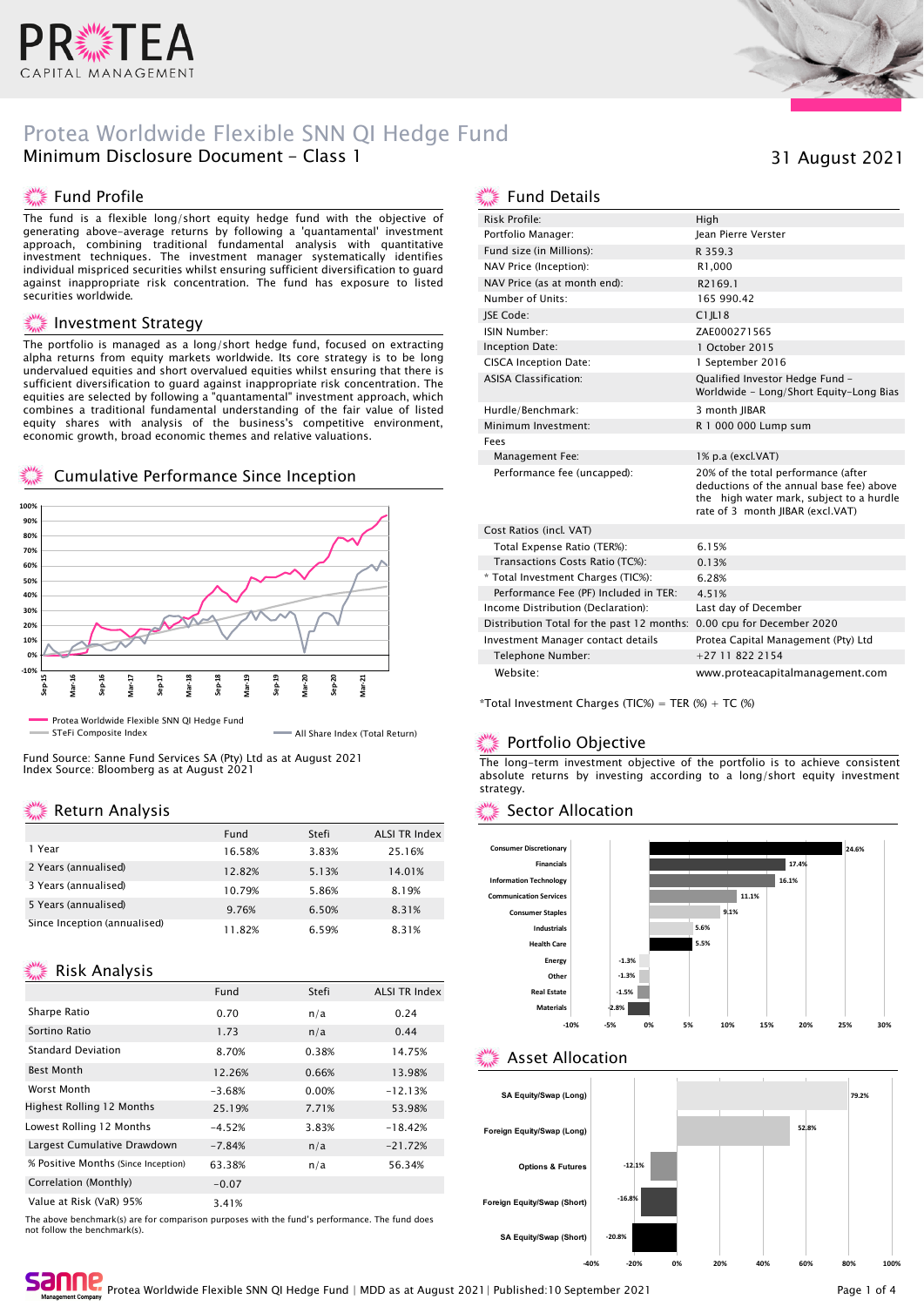

# Protea Worldwide Flexible SNN QI Hedge Fund Minimum Disclosure Document - Class 1

### ▓ Fund Profile

The fund is a flexible long/short equity hedge fund with the objective of generating above-average returns by following a 'quantamental' investment approach, combining traditional fundamental analysis with quantitative investment techniques. The investment manager systematically identifies individual mispriced securities whilst ensuring sufficient diversification to guard against inappropriate risk concentration. The fund has exposure to listed securities worldwide.

#### Investment Strategy

The portfolio is managed as a long/short hedge fund, focused on extracting alpha returns from equity markets worldwide. Its core strategy is to be long undervalued equities and short overvalued equities whilst ensuring that there is sufficient diversification to guard against inappropriate risk concentration. The equities are selected by following a "quantamental" investment approach, which combines a traditional fundamental understanding of the fair value of listed equity shares with analysis of the business's competitive environment, economic growth, broad economic themes and relative valuations.

### Cumulative Performance Since Inception



STeFi Composite Index All Share Index (Total Return)

Fund Source: Sanne Fund Services SA (Pty) Ltd as at August 2021 Index Source: Bloomberg as at August 2021

# Return Analysis

|                              | Fund   | Stefi | <b>ALSI TR Index</b> |
|------------------------------|--------|-------|----------------------|
| 1 Year                       | 16.58% | 3.83% | 25.16%               |
| 2 Years (annualised)         | 12.82% | 5.13% | 14.01%               |
| 3 Years (annualised)         | 10.79% | 5.86% | 8.19%                |
| 5 Years (annualised)         | 9.76%  | 6.50% | 8.31%                |
| Since Inception (annualised) | 11.82% | 6.59% | 8.31%                |

# Risk Analysis

|                                     | Fund     | Stefi | <b>ALSI TR Index</b> |
|-------------------------------------|----------|-------|----------------------|
| Sharpe Ratio                        | 0.70     | n/a   | 0.24                 |
| Sortino Ratio                       | 1.73     | n/a   | 0.44                 |
| <b>Standard Deviation</b>           | 8.70%    | 0.38% | 14.75%               |
| <b>Best Month</b>                   | 12.26%   | 0.66% | 13.98%               |
| Worst Month                         | $-3.68%$ | 0.00% | $-12.13%$            |
| <b>Highest Rolling 12 Months</b>    | 25.19%   | 7.71% | 53.98%               |
| Lowest Rolling 12 Months            | $-4.52%$ | 3.83% | $-18.42%$            |
| Largest Cumulative Drawdown         | $-7.84%$ | n/a   | $-21.72%$            |
| % Positive Months (Since Inception) | 63.38%   | n/a   | 56.34%               |
| Correlation (Monthly)               | $-0.07$  |       |                      |
| Value at Risk (VaR) 95%             | 3.41%    |       |                      |

The above benchmark(s) are for comparison purposes with the fund's performance. The fund does not follow the benchmark(s).



# 31 August 2021

### Fund Details

| Risk Profile:                              | High                                                                                                                                                            |
|--------------------------------------------|-----------------------------------------------------------------------------------------------------------------------------------------------------------------|
| Portfolio Manager:                         | <b>Iean Pierre Verster</b>                                                                                                                                      |
| Fund size (in Millions):                   | R 359.3                                                                                                                                                         |
| NAV Price (Inception):                     | R1,000                                                                                                                                                          |
| NAV Price (as at month end):               | R2169.1                                                                                                                                                         |
| Number of Units:                           | 165 990.42                                                                                                                                                      |
| <b>ISE Code:</b>                           | $C1$ IL18                                                                                                                                                       |
| ISIN Number:                               | ZAE000271565                                                                                                                                                    |
| Inception Date:                            | 1 October 2015                                                                                                                                                  |
| <b>CISCA Inception Date:</b>               | 1 September 2016                                                                                                                                                |
| <b>ASISA Classification:</b>               | Qualified Investor Hedge Fund -<br>Worldwide - Long/Short Equity-Long Bias                                                                                      |
| Hurdle/Benchmark:                          | 3 month IIBAR                                                                                                                                                   |
| Minimum Investment:                        | R 1 000 000 Lump sum                                                                                                                                            |
| Fees                                       |                                                                                                                                                                 |
| Management Fee:                            | 1% p.a (excl.VAT)                                                                                                                                               |
| Performance fee (uncapped):                | 20% of the total performance (after<br>deductions of the annual base fee) above<br>the high water mark, subject to a hurdle<br>rate of 3 month JIBAR (excl.VAT) |
| Cost Ratios (incl. VAT)                    |                                                                                                                                                                 |
| Total Expense Ratio (TER%):                | 6.15%                                                                                                                                                           |
| Transactions Costs Ratio (TC%):            | 0.13%                                                                                                                                                           |
| * Total Investment Charges (TIC%):         | 6.28%                                                                                                                                                           |
| Performance Fee (PF) Included in TER:      | 4.51%                                                                                                                                                           |
| Income Distribution (Declaration):         | Last day of December                                                                                                                                            |
| Distribution Total for the past 12 months: | 0.00 cpu for December 2020                                                                                                                                      |
| Investment Manager contact details         | Protea Capital Management (Pty) Ltd                                                                                                                             |
| Telephone Number:                          | +27 11 822 2154                                                                                                                                                 |
| Website:                                   | www.proteacapitalmanagement.com                                                                                                                                 |

 $*T$ otal Investment Charges (TIC%) = TER (%) + TC (%)

### Portfolio Objective

The long-term investment objective of the portfolio is to achieve consistent absolute returns by investing according to a long/short equity investment strategy.

#### Sector Allocation



### Asset Allocation



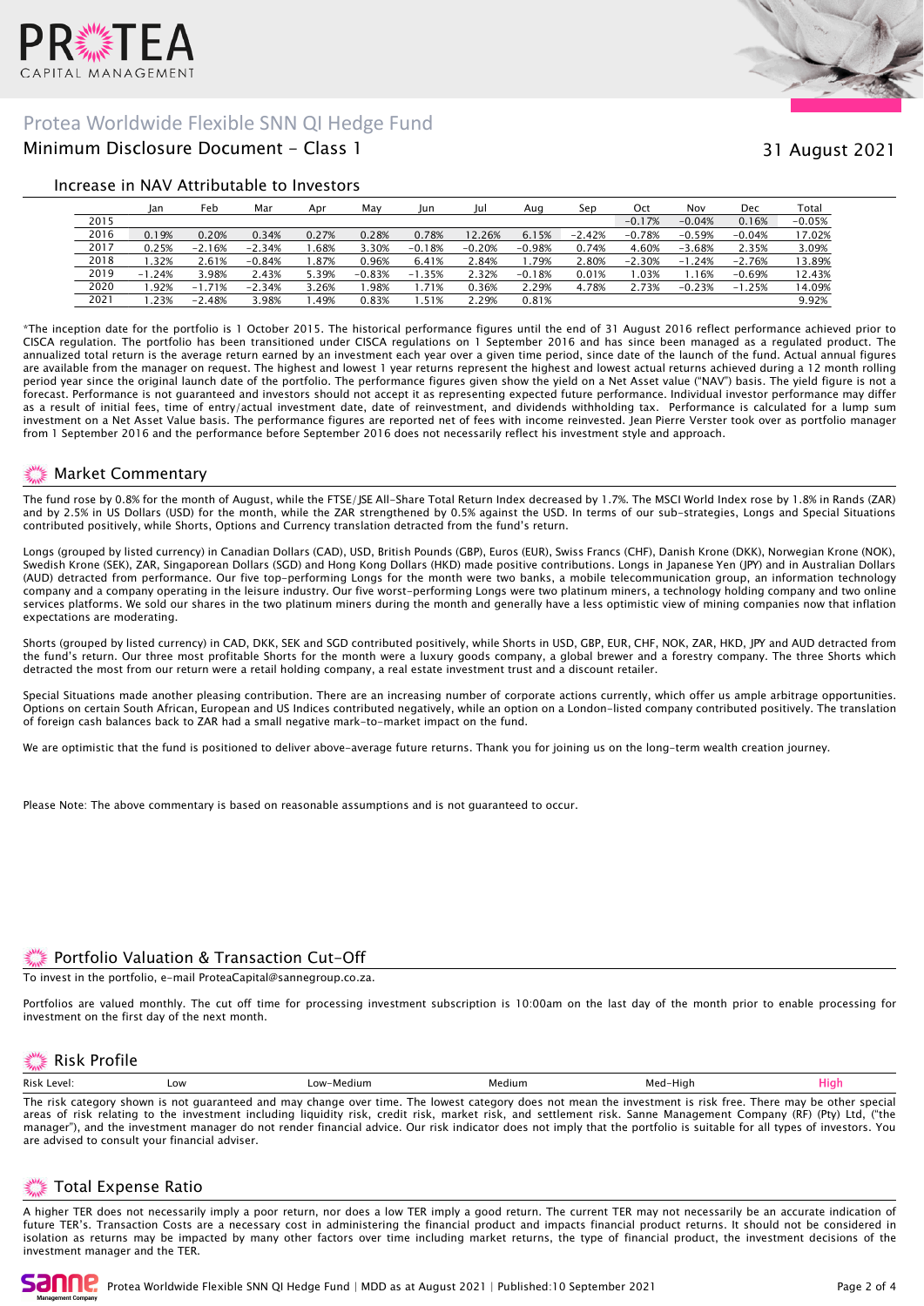

# Minimum Disclosure Document - Class 1 Protea Worldwide Flexible SNN QI Hedge Fund



# 31 August 2021

#### Increase in NAV Attributable to Investors

|      | Jan      | Feb      | Mar      | Apr   | May      | Jun      | Jul      | Aug      | Sep      | Oct      | Nov          | Dec      | Total    |
|------|----------|----------|----------|-------|----------|----------|----------|----------|----------|----------|--------------|----------|----------|
| 2015 |          |          |          |       |          |          |          |          |          | $-0.17%$ | $-0.04%$     | 0.16%    | $-0.05%$ |
| 2016 | 0.19%    | 0.20%    | 0.34%    | 0.27% | 0.28%    | 0.78%    | 12.26%   | 6.15%    | $-2.42%$ | $-0.78%$ | $-0.59%$     | $-0.04%$ | 17.02%   |
| 2017 | 0.25%    | $-2.16%$ | $-2.34%$ | .68%  | 3.30%    | $-0.18%$ | $-0.20%$ | $-0.98%$ | 0.74%    | 4.60%    | $-3.68%$     | 2.35%    | 3.09%    |
| 2018 | .32%     | 2.61%    | $-0.84%$ | .87%  | 0.96%    | 6.41%    | 2.84%    | .79%     | $2.80\%$ | $-2.30%$ | .24%<br>$-1$ | $-2.76%$ | 13.89%   |
| 2019 | $-1.24%$ | 3.98%    | 2.43%    | 5.39% | $-0.83%$ | $-1.35%$ | 2.32%    | $-0.18%$ | 0.01%    | .03%     | .16%         | $-0.69%$ | 12.43%   |
| 2020 | .92%     | $-1.71%$ | $-2.34%$ | 3.26% | .98%     | 1.71%    | 0.36%    | 2.29%    | 4.78%    | 2.73%    | $-0.23%$     | $-1.25%$ | 14.09%   |
| 2021 | .23%     | $-2.48%$ | 3.98%    | .49%  | 0.83%    | .51%     | 2.29%    | 0.81%    |          |          |              |          | 9.92%    |

\*The inception date for the portfolio is 1 October 2015. The historical performance figures until the end of 31 August 2016 reflect performance achieved prior to CISCA regulation. The portfolio has been transitioned under CISCA regulations on 1 September 2016 and has since been managed as a regulated product. The annualized total return is the average return earned by an investment each year over a given time period, since date of the launch of the fund. Actual annual figures are available from the manager on request. The highest and lowest 1 year returns represent the highest and lowest actual returns achieved during a 12 month rolling period year since the original launch date of the portfolio. The performance figures given show the yield on a Net Asset value ("NAV") basis. The yield figure is not a forecast. Performance is not guaranteed and investors should not accept it as representing expected future performance. Individual investor performance may differ as a result of initial fees, time of entry/actual investment date, date of reinvestment, and dividends withholding tax. Performance is calculated for a lump sum investment on a Net Asset Value basis. The performance figures are reported net of fees with income reinvested. Jean Pierre Verster took over as portfolio manager from 1 September 2016 and the performance before September 2016 does not necessarily reflect his investment style and approach.

### Market Commentary

The fund rose by 0.8% for the month of August, while the FTSE/JSE All-Share Total Return Index decreased by 1.7%. The MSCI World Index rose by 1.8% in Rands (ZAR) and by 2.5% in US Dollars (USD) for the month, while the ZAR strengthened by 0.5% against the USD. In terms of our sub-strategies, Longs and Special Situations contributed positively, while Shorts, Options and Currency translation detracted from the fund's return.

Longs (grouped by listed currency) in Canadian Dollars (CAD), USD, British Pounds (GBP), Euros (EUR), Swiss Francs (CHF), Danish Krone (DKK), Norwegian Krone (NOK), Swedish Krone (SEK), ZAR, Singaporean Dollars (SGD) and Hong Kong Dollars (HKD) made positive contributions. Longs in Japanese Yen (JPY) and in Australian Dollars (AUD) detracted from performance. Our five top-performing Longs for the month were two banks, a mobile telecommunication group, an information technology company and a company operating in the leisure industry. Our five worst-performing Longs were two platinum miners, a technology holding company and two online services platforms. We sold our shares in the two platinum miners during the month and generally have a less optimistic view of mining companies now that inflation expectations are moderating.

Shorts (grouped by listed currency) in CAD, DKK, SEK and SGD contributed positively, while Shorts in USD, GBP, EUR, CHF, NOK, ZAR, HKD, JPY and AUD detracted from the fund's return. Our three most profitable Shorts for the month were a luxury goods company, a global brewer and a forestry company. The three Shorts which detracted the most from our return were a retail holding company, a real estate investment trust and a discount retailer.

Special Situations made another pleasing contribution. There are an increasing number of corporate actions currently, which offer us ample arbitrage opportunities. Options on certain South African, European and US Indices contributed negatively, while an option on a London-listed company contributed positively. The translation of foreign cash balances back to ZAR had a small negative mark-to-market impact on the fund.

We are optimistic that the fund is positioned to deliver above-average future returns. Thank you for joining us on the long-term wealth creation journey.

Please Note: The above commentary is based on reasonable assumptions and is not guaranteed to occur.

### Portfolio Valuation & Transaction Cut-Off

To invest in the portfolio, e-mail ProteaCapital@sannegroup.co.za.

Portfolios are valued monthly. The cut off time for processing investment subscription is 10:00am on the last day of the month prior to enable processing for investment on the first day of the next month.

# Risk Profile

| <b>Risi</b><br>$\Delta$ | Low<br>the contract of the contract of the | ∟ov | dium | 1 I C<br>we |  |
|-------------------------|--------------------------------------------|-----|------|-------------|--|
|                         |                                            |     |      |             |  |

The risk category shown is not guaranteed and may change over time. The lowest category does not mean the investment is risk free. There may be other special areas of risk relating to the investment including liquidity risk, credit risk, market risk, and settlement risk. Sanne Management Company (RF) (Pty) Ltd, ("the manager"), and the investment manager do not render financial advice. Our risk indicator does not imply that the portfolio is suitable for all types of investors. You are advised to consult your financial adviser.

# Total Expense Ratio

A higher TER does not necessarily imply a poor return, nor does a low TER imply a good return. The current TER may not necessarily be an accurate indication of future TER's. Transaction Costs are a necessary cost in administering the financial product and impacts financial product returns. It should not be considered in isolation as returns may be impacted by many other factors over time including market returns, the type of financial product, the investment decisions of the investment manager and the TER.

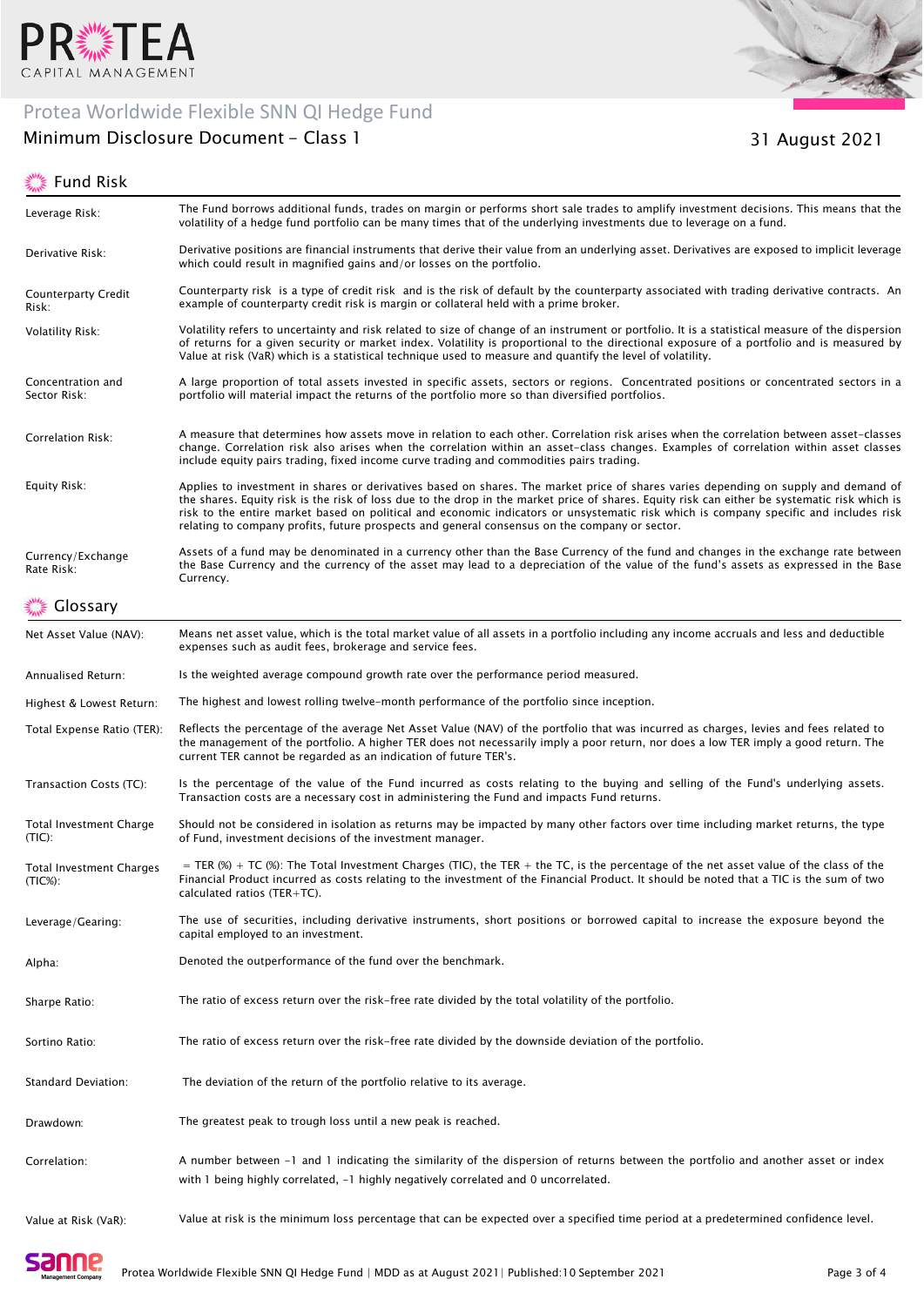

# Protea Worldwide Flexible SNN QI Hedge Fund

# Minimum Disclosure Document - Class 1





31 August 2021

| Leverage Risk:                                | The Fund borrows additional funds, trades on margin or performs short sale trades to amplify investment decisions. This means that the<br>volatility of a hedge fund portfolio can be many times that of the underlying investments due to leverage on a fund.                                                                                                                                                                                                                                                                 |
|-----------------------------------------------|--------------------------------------------------------------------------------------------------------------------------------------------------------------------------------------------------------------------------------------------------------------------------------------------------------------------------------------------------------------------------------------------------------------------------------------------------------------------------------------------------------------------------------|
| Derivative Risk:                              | Derivative positions are financial instruments that derive their value from an underlying asset. Derivatives are exposed to implicit leverage<br>which could result in magnified gains and/or losses on the portfolio.                                                                                                                                                                                                                                                                                                         |
| <b>Counterparty Credit</b><br>Risk:           | Counterparty risk is a type of credit risk and is the risk of default by the counterparty associated with trading derivative contracts. An<br>example of counterparty credit risk is margin or collateral held with a prime broker.                                                                                                                                                                                                                                                                                            |
| <b>Volatility Risk:</b>                       | Volatility refers to uncertainty and risk related to size of change of an instrument or portfolio. It is a statistical measure of the dispersion<br>of returns for a given security or market index. Volatility is proportional to the directional exposure of a portfolio and is measured by<br>Value at risk (VaR) which is a statistical technique used to measure and quantify the level of volatility.                                                                                                                    |
| Concentration and<br>Sector Risk:             | A large proportion of total assets invested in specific assets, sectors or regions. Concentrated positions or concentrated sectors in a<br>portfolio will material impact the returns of the portfolio more so than diversified portfolios.                                                                                                                                                                                                                                                                                    |
| Correlation Risk:                             | A measure that determines how assets move in relation to each other. Correlation risk arises when the correlation between asset-classes<br>change. Correlation risk also arises when the correlation within an asset-class changes. Examples of correlation within asset classes<br>include equity pairs trading, fixed income curve trading and commodities pairs trading.                                                                                                                                                    |
| Equity Risk:                                  | Applies to investment in shares or derivatives based on shares. The market price of shares varies depending on supply and demand of<br>the shares. Equity risk is the risk of loss due to the drop in the market price of shares. Equity risk can either be systematic risk which is<br>risk to the entire market based on political and economic indicators or unsystematic risk which is company specific and includes risk<br>relating to company profits, future prospects and general consensus on the company or sector. |
| Currency/Exchange<br>Rate Risk:               | Assets of a fund may be denominated in a currency other than the Base Currency of the fund and changes in the exchange rate between<br>the Base Currency and the currency of the asset may lead to a depreciation of the value of the fund's assets as expressed in the Base<br>Currency.                                                                                                                                                                                                                                      |
| Glossary                                      |                                                                                                                                                                                                                                                                                                                                                                                                                                                                                                                                |
| Net Asset Value (NAV):                        | Means net asset value, which is the total market value of all assets in a portfolio including any income accruals and less and deductible<br>expenses such as audit fees, brokerage and service fees.                                                                                                                                                                                                                                                                                                                          |
| Annualised Return:                            | Is the weighted average compound growth rate over the performance period measured.                                                                                                                                                                                                                                                                                                                                                                                                                                             |
| Highest & Lowest Return:                      | The highest and lowest rolling twelve-month performance of the portfolio since inception.                                                                                                                                                                                                                                                                                                                                                                                                                                      |
| Total Expense Ratio (TER):                    | Reflects the percentage of the average Net Asset Value (NAV) of the portfolio that was incurred as charges, levies and fees related to<br>the management of the portfolio. A higher TER does not necessarily imply a poor return, nor does a low TER imply a good return. The<br>current TER cannot be regarded as an indication of future TER's.                                                                                                                                                                              |
| Transaction Costs (TC):                       | Is the percentage of the value of the Fund incurred as costs relating to the buying and selling of the Fund's underlying assets.<br>Transaction costs are a necessary cost in administering the Fund and impacts Fund returns.                                                                                                                                                                                                                                                                                                 |
| Total Investment Charge<br>(TIC):             | Should not be considered in isolation as returns may be impacted by many other factors over time including market returns, the type<br>of Fund, investment decisions of the investment manager.                                                                                                                                                                                                                                                                                                                                |
| <b>Total Investment Charges</b><br>$(TIC%)$ : | = TER (%) + TC (%): The Total Investment Charges (TIC), the TER + the TC, is the percentage of the net asset value of the class of the<br>Financial Product incurred as costs relating to the investment of the Financial Product. It should be noted that a TIC is the sum of two<br>calculated ratios (TER+TC).                                                                                                                                                                                                              |
| Leverage/Gearing:                             | The use of securities, including derivative instruments, short positions or borrowed capital to increase the exposure beyond the<br>capital employed to an investment.                                                                                                                                                                                                                                                                                                                                                         |
| Alpha:                                        | Denoted the outperformance of the fund over the benchmark.                                                                                                                                                                                                                                                                                                                                                                                                                                                                     |
| Sharpe Ratio:                                 | The ratio of excess return over the risk-free rate divided by the total volatility of the portfolio.                                                                                                                                                                                                                                                                                                                                                                                                                           |
| Sortino Ratio:                                | The ratio of excess return over the risk-free rate divided by the downside deviation of the portfolio.                                                                                                                                                                                                                                                                                                                                                                                                                         |
| Standard Deviation:                           | The deviation of the return of the portfolio relative to its average.                                                                                                                                                                                                                                                                                                                                                                                                                                                          |
| Drawdown:                                     | The greatest peak to trough loss until a new peak is reached.                                                                                                                                                                                                                                                                                                                                                                                                                                                                  |
| Correlation:                                  | A number between -1 and 1 indicating the similarity of the dispersion of returns between the portfolio and another asset or index<br>with 1 being highly correlated, $-1$ highly negatively correlated and 0 uncorrelated.                                                                                                                                                                                                                                                                                                     |
| Value at Risk (VaR):                          | Value at risk is the minimum loss percentage that can be expected over a specified time period at a predetermined confidence level.                                                                                                                                                                                                                                                                                                                                                                                            |